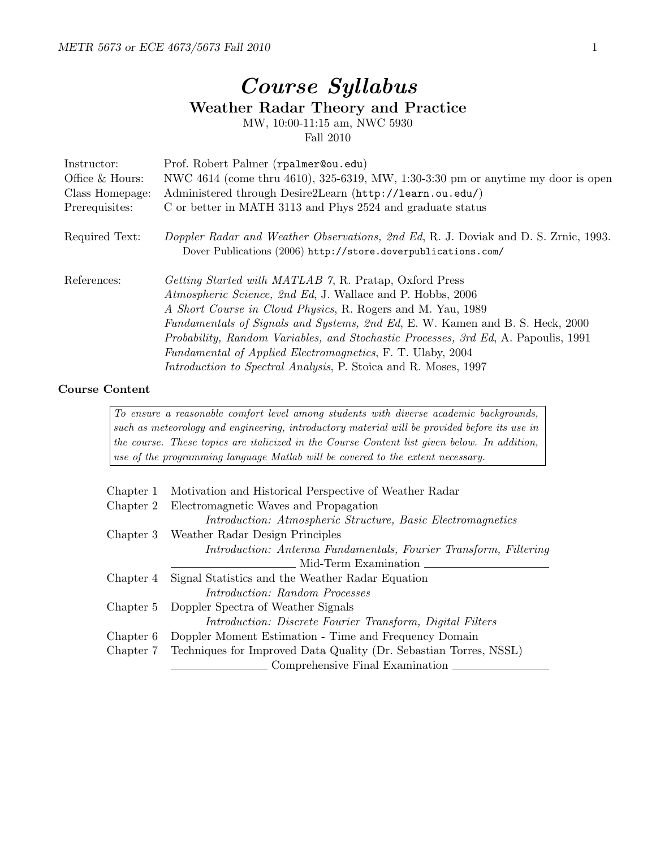## Course Syllabus Weather Radar Theory and Practice MW, 10:00-11:15 am, NWC 5930

Fall 2010

| Instructor:<br>Office & Hours: | Prof. Robert Palmer (rpalmer@ou.edu)<br>NWC 4614 (come thru 4610), 325-6319, MW, 1:30-3:30 pm or anytime my door is open                                                                                                                                                                                                                                                                                                                                                                                         |
|--------------------------------|------------------------------------------------------------------------------------------------------------------------------------------------------------------------------------------------------------------------------------------------------------------------------------------------------------------------------------------------------------------------------------------------------------------------------------------------------------------------------------------------------------------|
| Class Homepage:                | Administered through Desire2Learn (http://learn.ou.edu/)                                                                                                                                                                                                                                                                                                                                                                                                                                                         |
| Prerequisites:                 | C or better in MATH 3113 and Phys 2524 and graduate status                                                                                                                                                                                                                                                                                                                                                                                                                                                       |
| Required Text:                 | Doppler Radar and Weather Observations, 2nd Ed, R. J. Doviak and D. S. Zrnic, 1993.<br>Dover Publications (2006) http://store.doverpublications.com/                                                                                                                                                                                                                                                                                                                                                             |
| References:                    | <i>Getting Started with MATLAB 7, R. Pratap, Oxford Press</i><br>Atmospheric Science, 2nd Ed, J. Wallace and P. Hobbs, 2006<br>A Short Course in Cloud Physics, R. Rogers and M. Yau, 1989<br>Fundamentals of Signals and Systems, 2nd Ed, E. W. Kamen and B. S. Heck, 2000<br><i>Probability, Random Variables, and Stochastic Processes, 3rd Ed, A. Papoulis, 1991</i><br><i>Fundamental of Applied Electromagnetics, F. T. Ulaby, 2004</i><br>Introduction to Spectral Analysis, P. Stoica and R. Moses, 1997 |

## Course Content

To ensure a reasonable comfort level among students with diverse academic backgrounds, such as meteorology and engineering, introductory material will be provided before its use in the course. These topics are italicized in the Course Content list given below. In addition, use of the programming language Matlab will be covered to the extent necessary.

| Chapter 1 | Motivation and Historical Perspective of Weather Radar                      |
|-----------|-----------------------------------------------------------------------------|
| Chapter 2 | Electromagnetic Waves and Propagation                                       |
|           | Introduction: Atmospheric Structure, Basic Electromagnetics                 |
| Chapter 3 | Weather Radar Design Principles                                             |
|           | Introduction: Antenna Fundamentals, Fourier Transform, Filtering            |
|           | Mid-Term Examination                                                        |
| Chapter 4 | Signal Statistics and the Weather Radar Equation                            |
|           | <i>Introduction: Random Processes</i>                                       |
| Chapter 5 | Doppler Spectra of Weather Signals                                          |
|           | Introduction: Discrete Fourier Transform, Digital Filters                   |
| Chapter 6 | Doppler Moment Estimation - Time and Frequency Domain                       |
|           | Chapter 7 Techniques for Improved Data Quality (Dr. Sebastian Torres, NSSL) |
|           | Comprehensive Final Examination                                             |